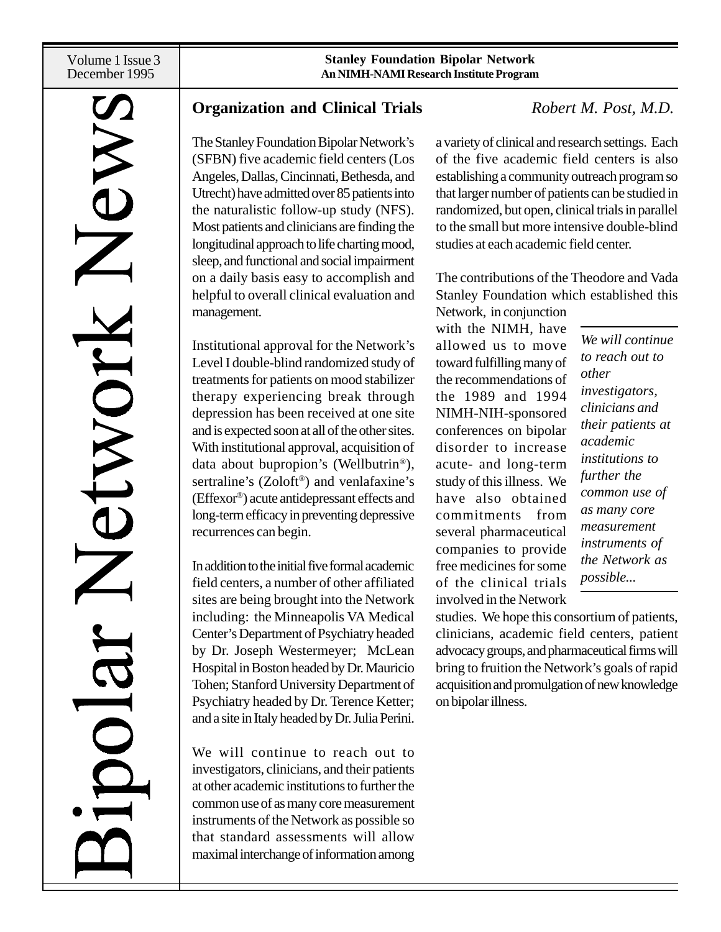Volume 1 Issue 3 December 1995

# $\sum_{\Lambda}$ VOTK etw

# **Organization and Clinical Trials** *Robert M. Post, M.D.*

The Stanley Foundation Bipolar Network's (SFBN) five academic field centers (Los Angeles, Dallas, Cincinnati, Bethesda, and Utrecht) have admitted over 85 patients into the naturalistic follow-up study (NFS). Most patients and clinicians are finding the longitudinal approach to life charting mood, sleep, and functional and social impairment on a daily basis easy to accomplish and helpful to overall clinical evaluation and management.

Institutional approval for the Network's Level I double-blind randomized study of treatments for patients on mood stabilizer therapy experiencing break through depression has been received at one site and is expected soon at all of the other sites. With institutional approval, acquisition of data about bupropion's (Wellbutrin®), sertraline's (Zoloft®) and venlafaxine's (Effexor®) acute antidepressant effects and long-term efficacy in preventing depressive recurrences can begin.

In addition to the initial five formal academic field centers, a number of other affiliated sites are being brought into the Network including: the Minneapolis VA Medical Center's Department of Psychiatry headed by Dr. Joseph Westermeyer; McLean Hospital in Boston headed by Dr. Mauricio Tohen; Stanford University Department of Psychiatry headed by Dr. Terence Ketter; and a site in Italy headed by Dr. Julia Perini.

We will continue to reach out to investigators, clinicians, and their patients at other academic institutions to further the common use of as many core measurement instruments of the Network as possible so that standard assessments will allow maximal interchange of information among

a variety of clinical and research settings. Each of the five academic field centers is also establishing a community outreach program so that larger number of patients can be studied in randomized, but open, clinical trials in parallel to the small but more intensive double-blind studies at each academic field center.

The contributions of the Theodore and Vada Stanley Foundation which established this

Network, in conjunction with the NIMH, have allowed us to move toward fulfilling many of the recommendations of the 1989 and 1994 NIMH-NIH-sponsored conferences on bipolar disorder to increase acute- and long-term study of this illness. We have also obtained commitments from several pharmaceutical companies to provide free medicines for some of the clinical trials involved in the Network

*We will continue to reach out to other investigators, clinicians and their patients at academic institutions to further the common use of as many core measurement instruments of the Network as possible...*

studies. We hope this consortium of patients, clinicians, academic field centers, patient advocacy groups, and pharmaceutical firms will bring to fruition the Network's goals of rapid acquisition and promulgation of new knowledge on bipolar illness.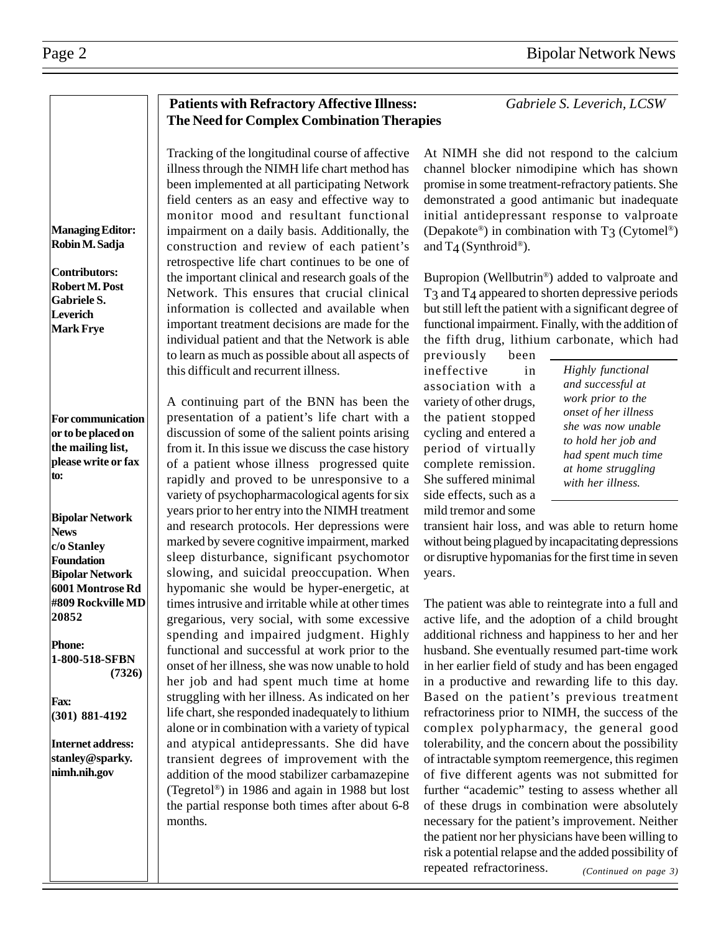**Managing Editor: Robin M. Sadja**

**Contributors: Robert M. Post Gabriele S. Leverich Mark Frye**

**For communication or to be placed on the mailing list, please write or fax to:**

**Bipolar Network News c/o Stanley Foundation Bipolar Network 6001 Montrose Rd #809 Rockville MD 20852**

**Phone: 1-800-518-SFBN (7326)**

**Fax: (301) 881-4192**

**Internet address: stanley@sparky. nimh.nih.gov**

# **Patients with Refractory Affective Illness:** *Gabriele S. Leverich, LCSW* **The Need for Complex Combination Therapies**

Tracking of the longitudinal course of affective illness through the NIMH life chart method has been implemented at all participating Network field centers as an easy and effective way to monitor mood and resultant functional impairment on a daily basis. Additionally, the construction and review of each patient's retrospective life chart continues to be one of the important clinical and research goals of the Network. This ensures that crucial clinical information is collected and available when important treatment decisions are made for the individual patient and that the Network is able to learn as much as possible about all aspects of this difficult and recurrent illness.

A continuing part of the BNN has been the presentation of a patient's life chart with a discussion of some of the salient points arising from it. In this issue we discuss the case history of a patient whose illness progressed quite rapidly and proved to be unresponsive to a variety of psychopharmacological agents for six years prior to her entry into the NIMH treatment and research protocols. Her depressions were marked by severe cognitive impairment, marked sleep disturbance, significant psychomotor slowing, and suicidal preoccupation. When hypomanic she would be hyper-energetic, at times intrusive and irritable while at other times gregarious, very social, with some excessive spending and impaired judgment. Highly functional and successful at work prior to the onset of her illness, she was now unable to hold her job and had spent much time at home struggling with her illness. As indicated on her life chart, she responded inadequately to lithium alone or in combination with a variety of typical and atypical antidepressants. She did have transient degrees of improvement with the addition of the mood stabilizer carbamazepine (Tegretol®) in 1986 and again in 1988 but lost the partial response both times after about 6-8 months.

At NIMH she did not respond to the calcium channel blocker nimodipine which has shown promise in some treatment-refractory patients. She demonstrated a good antimanic but inadequate initial antidepressant response to valproate (Depakote®) in combination with T3 (Cytomel®) and T<sub>4</sub> (Synthroid®).

Bupropion (Wellbutrin®) added to valproate and T3 and T4 appeared to shorten depressive periods but still left the patient with a significant degree of functional impairment. Finally, with the addition of the fifth drug, lithium carbonate, which had

previously been ineffective in association with a variety of other drugs, the patient stopped cycling and entered a period of virtually complete remission. She suffered minimal side effects, such as a mild tremor and some

*Highly functional and successful at work prior to the onset of her illness she was now unable to hold her job and had spent much time at home struggling with her illness.*

transient hair loss, and was able to return home without being plagued by incapacitating depressions or disruptive hypomanias for the first time in seven years.

The patient was able to reintegrate into a full and active life, and the adoption of a child brought additional richness and happiness to her and her husband. She eventually resumed part-time work in her earlier field of study and has been engaged in a productive and rewarding life to this day. Based on the patient's previous treatment refractoriness prior to NIMH, the success of the complex polypharmacy, the general good tolerability, and the concern about the possibility of intractable symptom reemergence, this regimen of five different agents was not submitted for further "academic" testing to assess whether all of these drugs in combination were absolutely necessary for the patient's improvement. Neither the patient nor her physicians have been willing to risk a potential relapse and the added possibility of repeated refractoriness. *(Continued on page 3)*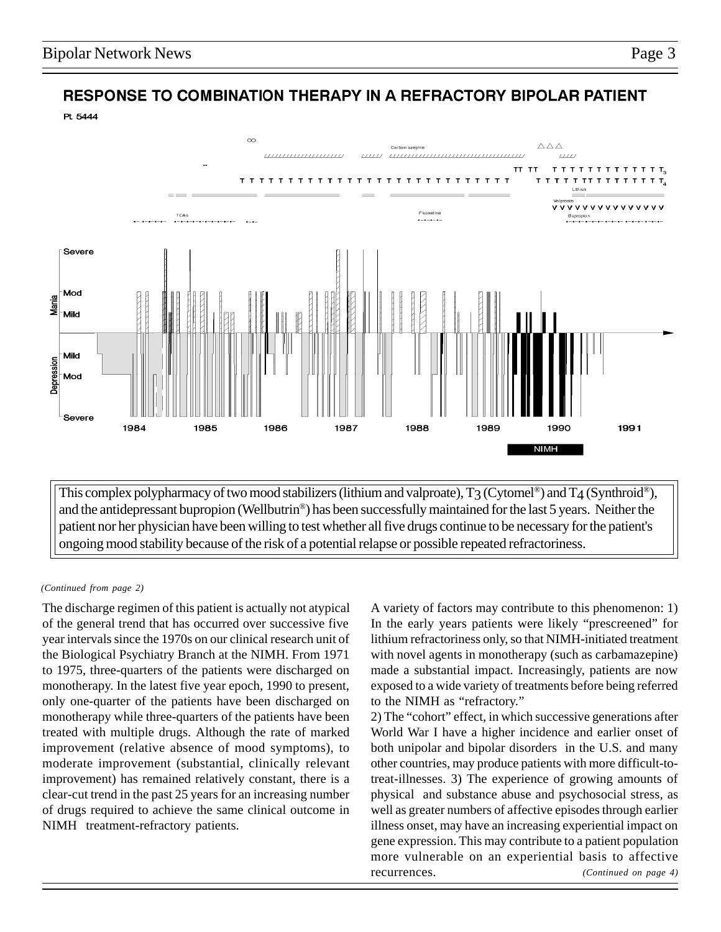Pt 5444



This complex polypharmacy of two mood stabilizers (lithium and valproate), T3 (Cytomel®) and T4 (Synthroid®), and the antidepressant bupropion (Wellbutrin®) has been successfully maintained for the last 5 years. Neither the patient nor her physician have been willing to test whether all five drugs continue to be necessary for the patient's ongoing mood stability because of the risk of a potential relapse or possible repeated refractoriness.

### *(Continued from page 2)*

The discharge regimen of this patient is actually not atypical of the general trend that has occurred over successive five year intervals since the 1970s on our clinical research unit of the Biological Psychiatry Branch at the NIMH. From 1971 to 1975, three-quarters of the patients were discharged on monotherapy. In the latest five year epoch, 1990 to present, only one-quarter of the patients have been discharged on monotherapy while three-quarters of the patients have been treated with multiple drugs. Although the rate of marked improvement (relative absence of mood symptoms), to moderate improvement (substantial, clinically relevant improvement) has remained relatively constant, there is a clear-cut trend in the past 25 years for an increasing number of drugs required to achieve the same clinical outcome in NIMH treatment-refractory patients.

A variety of factors may contribute to this phenomenon: 1) In the early years patients were likely "prescreened" for lithium refractoriness only, so that NIMH-initiated treatment with novel agents in monotherapy (such as carbamazepine) made a substantial impact. Increasingly, patients are now exposed to a wide variety of treatments before being referred to the NIMH as "refractory."

2) The "cohort" effect, in which successive generations after World War I have a higher incidence and earlier onset of both unipolar and bipolar disorders in the U.S. and many other countries, may produce patients with more difficult-totreat-illnesses. 3) The experience of growing amounts of physical and substance abuse and psychosocial stress, as well as greater numbers of affective episodes through earlier illness onset, may have an increasing experiential impact on gene expression. This may contribute to a patient population more vulnerable on an experiential basis to affective recurrences. *(Continued on page 4)*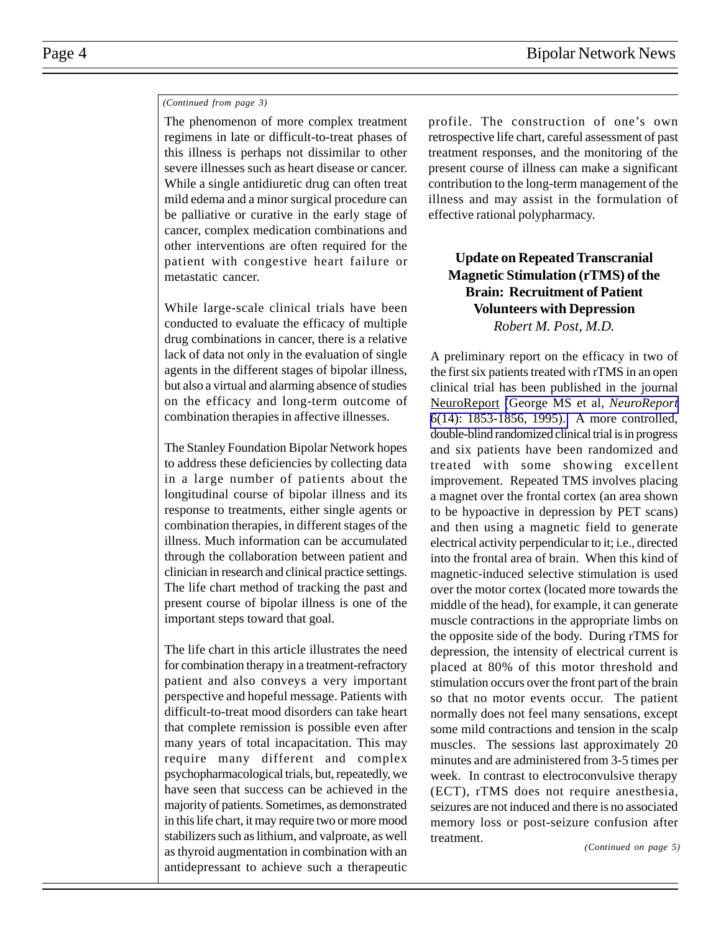### *(Continued from page 3)*

The phenomenon of more complex treatment regimens in late or difficult-to-treat phases of this illness is perhaps not dissimilar to other severe illnesses such as heart disease or cancer. While a single antidiuretic drug can often treat mild edema and a minor surgical procedure can be palliative or curative in the early stage of cancer, complex medication combinations and other interventions are often required for the patient with congestive heart failure or metastatic cancer.

While large-scale clinical trials have been conducted to evaluate the efficacy of multiple drug combinations in cancer, there is a relative lack of data not only in the evaluation of single agents in the different stages of bipolar illness, but also a virtual and alarming absence of studies on the efficacy and long-term outcome of combination therapies in affective illnesses.

The Stanley Foundation Bipolar Network hopes to address these deficiencies by collecting data in a large number of patients about the longitudinal course of bipolar illness and its response to treatments, either single agents or combination therapies, in different stages of the illness. Much information can be accumulated through the collaboration between patient and clinician in research and clinical practice settings. The life chart method of tracking the past and present course of bipolar illness is one of the important steps toward that goal.

The life chart in this article illustrates the need for combination therapy in a treatment-refractory patient and also conveys a very important perspective and hopeful message. Patients with difficult-to-treat mood disorders can take heart that complete remission is possible even after many years of total incapacitation. This may require many different and complex psychopharmacological trials, but, repeatedly, we have seen that success can be achieved in the majority of patients. Sometimes, as demonstrated in this life chart, it may require two or more mood stabilizers such as lithium, and valproate, as well as thyroid augmentation in combination with an antidepressant to achieve such a therapeutic

profile. The construction of one's own retrospective life chart, careful assessment of past treatment responses, and the monitoring of the present course of illness can make a significant contribution to the long-term management of the illness and may assist in the formulation of effective rational polypharmacy.

# **Update on Repeated Transcranial Magnetic Stimulation (rTMS) of the Brain: Recruitment of Patient Volunteers with Depression** *Robert M. Post, M.D.*

A preliminary report on the efficacy in two of the first six patients treated with rTMS in an open clinical trial has been published in the journal NeuroReport [\(George MS et al,](http://www.ncbi.nlm.nih.gov:80/entrez/query.fcgi?cmd=Retrieve&db=PubMed&list_uids=8547583&dopt=Abstract) *NeuroReport* [6\(14\): 1853-1856, 1995\).](http://www.ncbi.nlm.nih.gov:80/entrez/query.fcgi?cmd=Retrieve&db=PubMed&list_uids=8547583&dopt=Abstract) A more controlled, double-blind randomized clinical trial is in progress and six patients have been randomized and treated with some showing excellent improvement. Repeated TMS involves placing a magnet over the frontal cortex (an area shown to be hypoactive in depression by PET scans) and then using a magnetic field to generate electrical activity perpendicular to it; i.e., directed into the frontal area of brain. When this kind of magnetic-induced selective stimulation is used over the motor cortex (located more towards the middle of the head), for example, it can generate muscle contractions in the appropriate limbs on the opposite side of the body. During rTMS for depression, the intensity of electrical current is placed at 80% of this motor threshold and stimulation occurs over the front part of the brain so that no motor events occur. The patient normally does not feel many sensations, except some mild contractions and tension in the scalp muscles. The sessions last approximately 20 minutes and are administered from 3-5 times per week. In contrast to electroconvulsive therapy (ECT), rTMS does not require anesthesia, seizures are not induced and there is no associated memory loss or post-seizure confusion after treatment.

*(Continued on page 5)*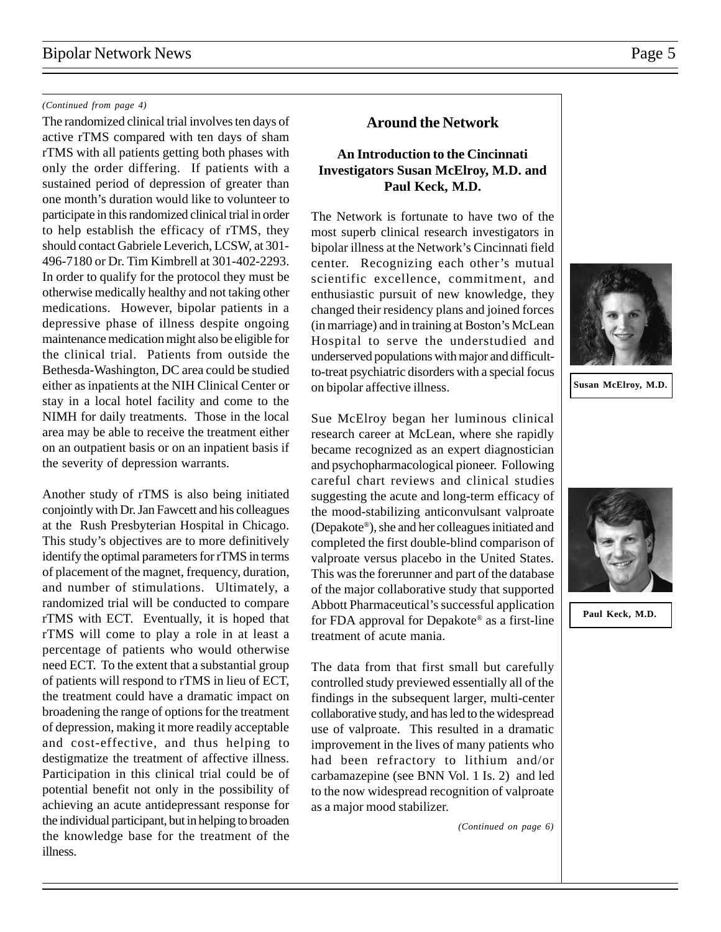# Bipolar Network News Page 5

### *(Continued from page 4)*

The randomized clinical trial involves ten days of active rTMS compared with ten days of sham rTMS with all patients getting both phases with only the order differing. If patients with a sustained period of depression of greater than one month's duration would like to volunteer to participate in this randomized clinical trial in order to help establish the efficacy of rTMS, they should contact Gabriele Leverich, LCSW, at 301- 496-7180 or Dr. Tim Kimbrell at 301-402-2293. In order to qualify for the protocol they must be otherwise medically healthy and not taking other medications. However, bipolar patients in a depressive phase of illness despite ongoing maintenance medication might also be eligible for the clinical trial. Patients from outside the Bethesda-Washington, DC area could be studied either as inpatients at the NIH Clinical Center or stay in a local hotel facility and come to the NIMH for daily treatments. Those in the local area may be able to receive the treatment either on an outpatient basis or on an inpatient basis if the severity of depression warrants.

Another study of rTMS is also being initiated conjointly with Dr. Jan Fawcett and his colleagues at the Rush Presbyterian Hospital in Chicago. This study's objectives are to more definitively identify the optimal parameters for rTMS in terms of placement of the magnet, frequency, duration, and number of stimulations. Ultimately, a randomized trial will be conducted to compare rTMS with ECT. Eventually, it is hoped that rTMS will come to play a role in at least a percentage of patients who would otherwise need ECT. To the extent that a substantial group of patients will respond to rTMS in lieu of ECT, the treatment could have a dramatic impact on broadening the range of options for the treatment of depression, making it more readily acceptable and cost-effective, and thus helping to destigmatize the treatment of affective illness. Participation in this clinical trial could be of potential benefit not only in the possibility of achieving an acute antidepressant response for the individual participant, but in helping to broaden the knowledge base for the treatment of the illness.

# **Around the Network**

## **An Introduction to the Cincinnati Investigators Susan McElroy, M.D. and Paul Keck, M.D.**

The Network is fortunate to have two of the most superb clinical research investigators in bipolar illness at the Network's Cincinnati field center. Recognizing each other's mutual scientific excellence, commitment, and enthusiastic pursuit of new knowledge, they changed their residency plans and joined forces (in marriage) and in training at Boston's McLean Hospital to serve the understudied and underserved populations with major and difficultto-treat psychiatric disorders with a special focus on bipolar affective illness.

Sue McElroy began her luminous clinical research career at McLean, where she rapidly became recognized as an expert diagnostician and psychopharmacological pioneer. Following careful chart reviews and clinical studies suggesting the acute and long-term efficacy of the mood-stabilizing anticonvulsant valproate (Depakote®), she and her colleagues initiated and completed the first double-blind comparison of valproate versus placebo in the United States. This was the forerunner and part of the database of the major collaborative study that supported Abbott Pharmaceutical's successful application for FDA approval for Depakote® as a first-line treatment of acute mania.

The data from that first small but carefully controlled study previewed essentially all of the findings in the subsequent larger, multi-center collaborative study, and has led to the widespread use of valproate. This resulted in a dramatic improvement in the lives of many patients who had been refractory to lithium and/or carbamazepine (see BNN Vol. 1 Is. 2) and led to the now widespread recognition of valproate as a major mood stabilizer.

*(Continued on page 6)*



**Susan McElroy, M.D.**



**Paul Keck, M.D.**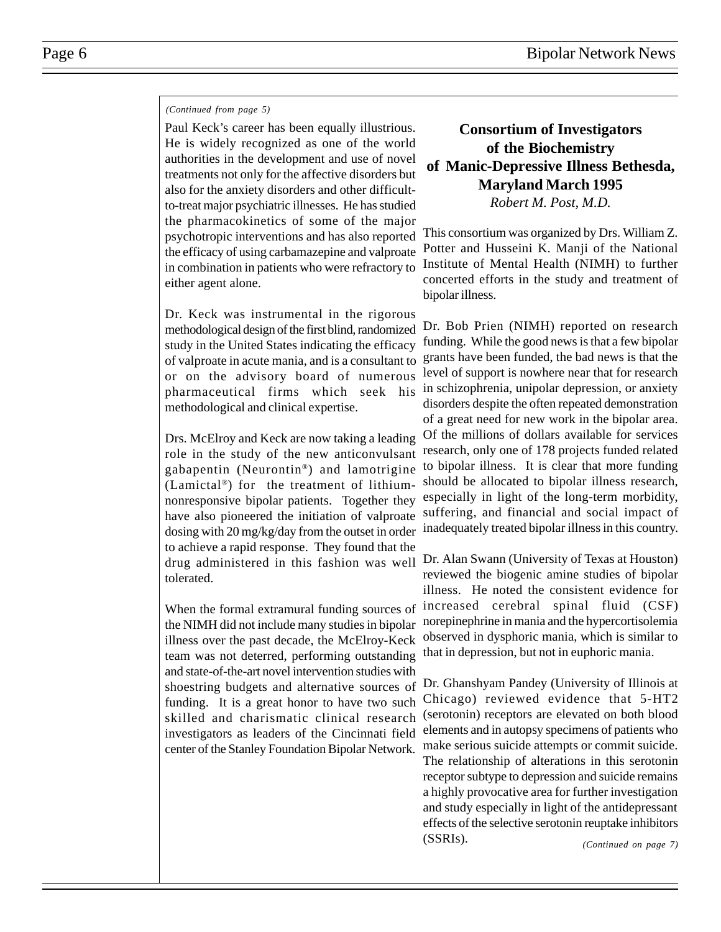### *(Continued from page 5)*

Paul Keck's career has been equally illustrious. He is widely recognized as one of the world authorities in the development and use of novel treatments not only for the affective disorders but also for the anxiety disorders and other difficultto-treat major psychiatric illnesses. He has studied the pharmacokinetics of some of the major psychotropic interventions and has also reported the efficacy of using carbamazepine and valproate in combination in patients who were refractory to either agent alone.

Dr. Keck was instrumental in the rigorous methodological design of the first blind, randomized study in the United States indicating the efficacy of valproate in acute mania, and is a consultant to or on the advisory board of numerous pharmaceutical firms which seek his methodological and clinical expertise.

Drs. McElroy and Keck are now taking a leading role in the study of the new anticonvulsant gabapentin (Neurontin®) and lamotrigine (Lamictal®) for the treatment of lithiumnonresponsive bipolar patients. Together they have also pioneered the initiation of valproate dosing with 20 mg/kg/day from the outset in order to achieve a rapid response. They found that the drug administered in this fashion was well tolerated.

When the formal extramural funding sources of the NIMH did not include many studies in bipolar illness over the past decade, the McElroy-Keck team was not deterred, performing outstanding and state-of-the-art novel intervention studies with shoestring budgets and alternative sources of funding. It is a great honor to have two such skilled and charismatic clinical research investigators as leaders of the Cincinnati field center of the Stanley Foundation Bipolar Network.

# **Consortium of Investigators of the Biochemistry of Manic-Depressive Illness Bethesda, Maryland March 1995** *Robert M. Post, M.D.*

This consortium was organized by Drs. William Z. Potter and Husseini K. Manji of the National Institute of Mental Health (NIMH) to further concerted efforts in the study and treatment of bipolar illness.

Dr. Bob Prien (NIMH) reported on research funding. While the good news is that a few bipolar grants have been funded, the bad news is that the level of support is nowhere near that for research in schizophrenia, unipolar depression, or anxiety disorders despite the often repeated demonstration of a great need for new work in the bipolar area. Of the millions of dollars available for services research, only one of 178 projects funded related to bipolar illness. It is clear that more funding should be allocated to bipolar illness research, especially in light of the long-term morbidity, suffering, and financial and social impact of inadequately treated bipolar illness in this country.

Dr. Alan Swann (University of Texas at Houston) reviewed the biogenic amine studies of bipolar illness. He noted the consistent evidence for increased cerebral spinal fluid (CSF) norepinephrine in mania and the hypercortisolemia observed in dysphoric mania, which is similar to that in depression, but not in euphoric mania.

Dr. Ghanshyam Pandey (University of Illinois at Chicago) reviewed evidence that 5-HT2 (serotonin) receptors are elevated on both blood elements and in autopsy specimens of patients who make serious suicide attempts or commit suicide. The relationship of alterations in this serotonin receptor subtype to depression and suicide remains a highly provocative area for further investigation and study especially in light of the antidepressant effects of the selective serotonin reuptake inhibitors (SSRIs). *(Continued on page 7)*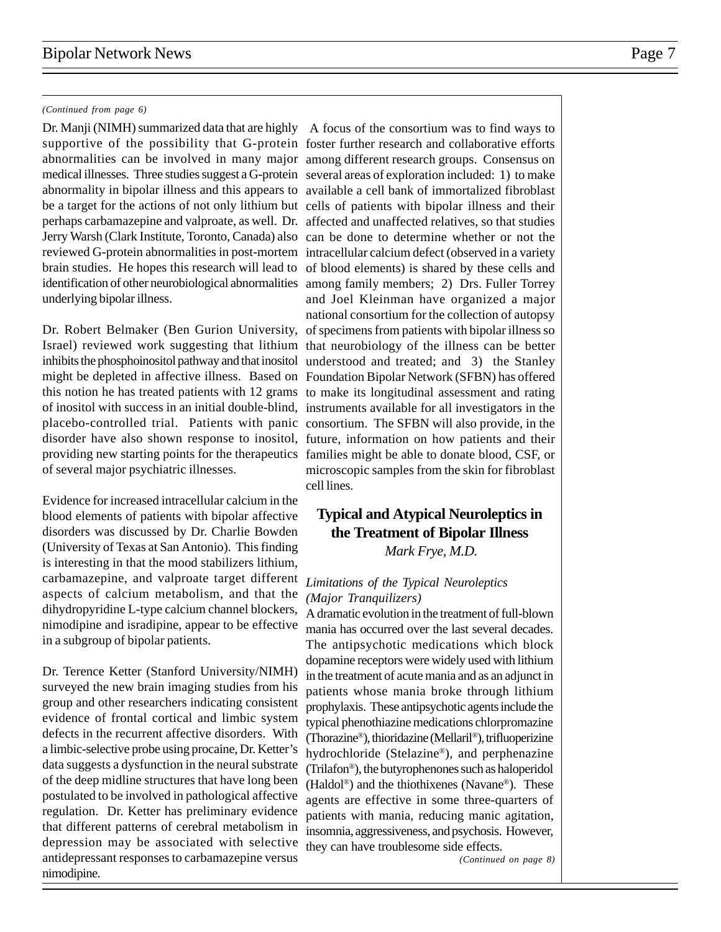### *(Continued from page 6)*

supportive of the possibility that G-protein foster further research and collaborative efforts abnormalities can be involved in many major among different research groups. Consensus on medical illnesses. Three studies suggest a G-protein several areas of exploration included: 1) to make abnormality in bipolar illness and this appears to available a cell bank of immortalized fibroblast be a target for the actions of not only lithium but cells of patients with bipolar illness and their perhaps carbamazepine and valproate, as well. Dr. affected and unaffected relatives, so that studies Jerry Warsh (Clark Institute, Toronto, Canada) also can be done to determine whether or not the reviewed G-protein abnormalities in post-mortem intracellular calcium defect (observed in a variety brain studies. He hopes this research will lead to of blood elements) is shared by these cells and identification of other neurobiological abnormalities among family members; 2) Drs. Fuller Torrey underlying bipolar illness.

Dr. Robert Belmaker (Ben Gurion University, of specimens from patients with bipolar illness so Israel) reviewed work suggesting that lithium that neurobiology of the illness can be better inhibits the phosphoinositol pathway and that inositol understood and treated; and 3) the Stanley might be depleted in affective illness. Based on Foundation Bipolar Network (SFBN) has offered this notion he has treated patients with 12 grams to make its longitudinal assessment and rating of inositol with success in an initial double-blind, instruments available for all investigators in the placebo-controlled trial. Patients with panic consortium. The SFBN will also provide, in the disorder have also shown response to inositol, future, information on how patients and their providing new starting points for the therapeutics families might be able to donate blood, CSF, or of several major psychiatric illnesses.

Evidence for increased intracellular calcium in the blood elements of patients with bipolar affective disorders was discussed by Dr. Charlie Bowden (University of Texas at San Antonio). This finding is interesting in that the mood stabilizers lithium, carbamazepine, and valproate target different aspects of calcium metabolism, and that the dihydropyridine L-type calcium channel blockers, nimodipine and isradipine, appear to be effective mania has occurred over the last several decades. in a subgroup of bipolar patients.

Dr. Terence Ketter (Stanford University/NIMH) surveyed the new brain imaging studies from his group and other researchers indicating consistent evidence of frontal cortical and limbic system defects in the recurrent affective disorders. With a limbic-selective probe using procaine, Dr. Ketter's data suggests a dysfunction in the neural substrate of the deep midline structures that have long been postulated to be involved in pathological affective regulation. Dr. Ketter has preliminary evidence that different patterns of cerebral metabolism in depression may be associated with selective antidepressant responses to carbamazepine versus nimodipine.

Dr. Manji (NIMH) summarized data that are highly A focus of the consortium was to find ways to and Joel Kleinman have organized a major national consortium for the collection of autopsy microscopic samples from the skin for fibroblast cell lines.

# **Typical and Atypical Neuroleptics in the Treatment of Bipolar Illness** *Mark Frye, M.D.*

### *Limitations of the Typical Neuroleptics (Major Tranquilizers)*

A dramatic evolution in the treatment of full-blown The antipsychotic medications which block dopamine receptors were widely used with lithium in the treatment of acute mania and as an adjunct in patients whose mania broke through lithium prophylaxis. These antipsychotic agents include the typical phenothiazine medications chlorpromazine (Thorazine®), thioridazine (Mellaril®), trifluoperizine hydrochloride (Stelazine®), and perphenazine (Trilafon®), the butyrophenones such as haloperidol (Haldol®) and the thiothixenes (Navane®). These agents are effective in some three-quarters of patients with mania, reducing manic agitation, insomnia, aggressiveness, and psychosis. However, they can have troublesome side effects.

*(Continued on page 8)*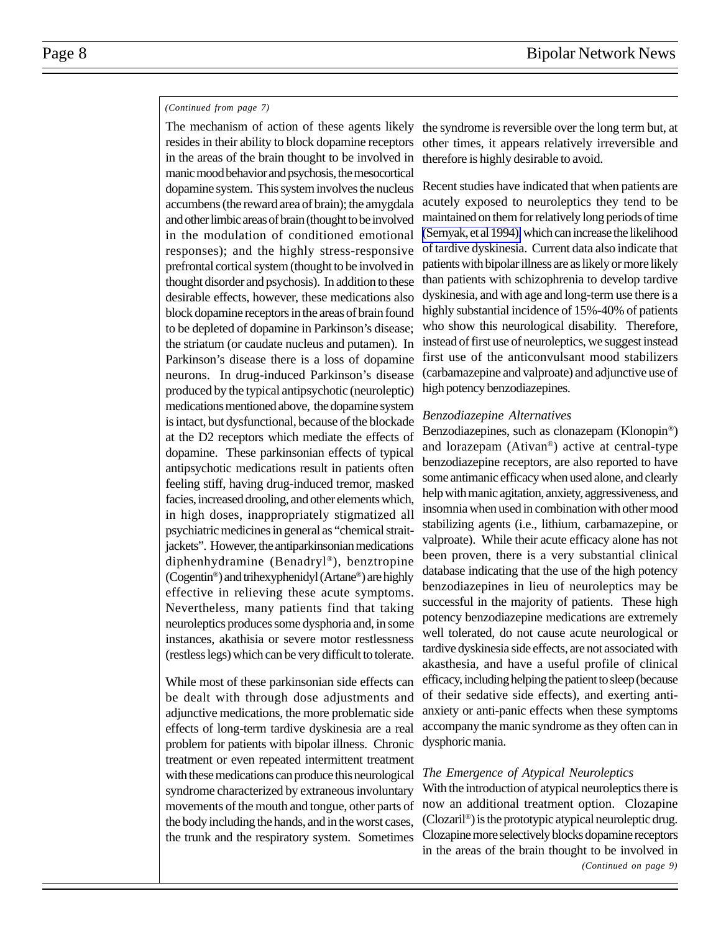### *(Continued from page 7)*

The mechanism of action of these agents likely resides in their ability to block dopamine receptors in the areas of the brain thought to be involved in manic mood behavior and psychosis, the mesocortical dopamine system. This system involves the nucleus accumbens (the reward area of brain); the amygdala and other limbic areas of brain (thought to be involved in the modulation of conditioned emotional responses); and the highly stress-responsive prefrontal cortical system (thought to be involved in thought disorder and psychosis). In addition to these desirable effects, however, these medications also block dopamine receptors in the areas of brain found to be depleted of dopamine in Parkinson's disease; the striatum (or caudate nucleus and putamen). In Parkinson's disease there is a loss of dopamine neurons. In drug-induced Parkinson's disease produced by the typical antipsychotic (neuroleptic) medications mentioned above, the dopamine system is intact, but dysfunctional, because of the blockade at the D2 receptors which mediate the effects of dopamine. These parkinsonian effects of typical antipsychotic medications result in patients often feeling stiff, having drug-induced tremor, masked facies, increased drooling, and other elements which, in high doses, inappropriately stigmatized all psychiatric medicines in general as "chemical straitjackets". However, the antiparkinsonian medications diphenhydramine (Benadryl®), benztropine (Cogentin®) and trihexyphenidyl (Artane®) are highly effective in relieving these acute symptoms. Nevertheless, many patients find that taking neuroleptics produces some dysphoria and, in some instances, akathisia or severe motor restlessness (restless legs) which can be very difficult to tolerate.

While most of these parkinsonian side effects can be dealt with through dose adjustments and adjunctive medications, the more problematic side effects of long-term tardive dyskinesia are a real problem for patients with bipolar illness. Chronic treatment or even repeated intermittent treatment with these medications can produce this neurological syndrome characterized by extraneous involuntary movements of the mouth and tongue, other parts of the body including the hands, and in the worst cases, the trunk and the respiratory system. Sometimes

the syndrome is reversible over the long term but, at other times, it appears relatively irreversible and therefore is highly desirable to avoid.

Recent studies have indicated that when patients are acutely exposed to neuroleptics they tend to be maintained on them for relatively long periods of time [\(Sernyak, et al 1994\),](http://www.ncbi.nlm.nih.gov:80/entrez/query.fcgi?cmd=Retrieve&db=PubMed&list_uids=7903511&dopt=Abstract) which can increase the likelihood of tardive dyskinesia. Current data also indicate that patients with bipolar illness are as likely or more likely than patients with schizophrenia to develop tardive dyskinesia, and with age and long-term use there is a highly substantial incidence of 15%-40% of patients who show this neurological disability. Therefore, instead of first use of neuroleptics, we suggest instead first use of the anticonvulsant mood stabilizers (carbamazepine and valproate) and adjunctive use of high potency benzodiazepines.

### *Benzodiazepine Alternatives*

Benzodiazepines, such as clonazepam (Klonopin®) and lorazepam (Ativan®) active at central-type benzodiazepine receptors, are also reported to have some antimanic efficacy when used alone, and clearly help with manic agitation, anxiety, aggressiveness, and insomnia when used in combination with other mood stabilizing agents (i.e., lithium, carbamazepine, or valproate). While their acute efficacy alone has not been proven, there is a very substantial clinical database indicating that the use of the high potency benzodiazepines in lieu of neuroleptics may be successful in the majority of patients. These high potency benzodiazepine medications are extremely well tolerated, do not cause acute neurological or tardive dyskinesia side effects, are not associated with akasthesia, and have a useful profile of clinical efficacy, including helping the patient to sleep (because of their sedative side effects), and exerting antianxiety or anti-panic effects when these symptoms accompany the manic syndrome as they often can in dysphoric mania.

### *The Emergence of Atypical Neuroleptics*

With the introduction of atypical neuroleptics there is now an additional treatment option. Clozapine (Clozaril®) is the prototypic atypical neuroleptic drug. Clozapine more selectively blocks dopamine receptors in the areas of the brain thought to be involved in *(Continued on page 9)*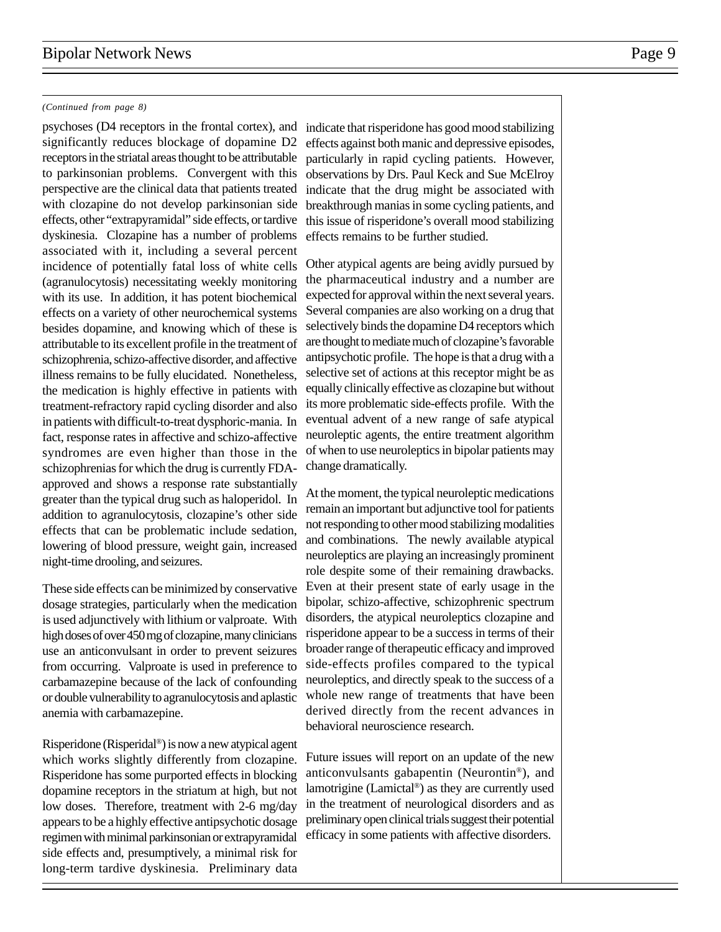### *(Continued from page 8)*

psychoses (D4 receptors in the frontal cortex), and significantly reduces blockage of dopamine D2 receptors in the striatal areas thought to be attributable to parkinsonian problems. Convergent with this perspective are the clinical data that patients treated with clozapine do not develop parkinsonian side effects, other "extrapyramidal" side effects, or tardive dyskinesia. Clozapine has a number of problems associated with it, including a several percent incidence of potentially fatal loss of white cells (agranulocytosis) necessitating weekly monitoring with its use. In addition, it has potent biochemical effects on a variety of other neurochemical systems besides dopamine, and knowing which of these is attributable to its excellent profile in the treatment of schizophrenia, schizo-affective disorder, and affective illness remains to be fully elucidated. Nonetheless, the medication is highly effective in patients with treatment-refractory rapid cycling disorder and also in patients with difficult-to-treat dysphoric-mania. In fact, response rates in affective and schizo-affective syndromes are even higher than those in the schizophrenias for which the drug is currently FDAapproved and shows a response rate substantially greater than the typical drug such as haloperidol. In addition to agranulocytosis, clozapine's other side effects that can be problematic include sedation, lowering of blood pressure, weight gain, increased night-time drooling, and seizures.

These side effects can be minimized by conservative dosage strategies, particularly when the medication is used adjunctively with lithium or valproate. With high doses of over 450 mg of clozapine, many clinicians use an anticonvulsant in order to prevent seizures from occurring. Valproate is used in preference to carbamazepine because of the lack of confounding or double vulnerability to agranulocytosis and aplastic anemia with carbamazepine.

Risperidone (Risperidal®) is now a new atypical agent which works slightly differently from clozapine. Risperidone has some purported effects in blocking dopamine receptors in the striatum at high, but not low doses. Therefore, treatment with 2-6 mg/day appears to be a highly effective antipsychotic dosage regimen with minimal parkinsonian or extrapyramidal side effects and, presumptively, a minimal risk for long-term tardive dyskinesia. Preliminary data

indicate that risperidone has good mood stabilizing effects against both manic and depressive episodes, particularly in rapid cycling patients. However, observations by Drs. Paul Keck and Sue McElroy indicate that the drug might be associated with breakthrough manias in some cycling patients, and this issue of risperidone's overall mood stabilizing effects remains to be further studied.

Other atypical agents are being avidly pursued by the pharmaceutical industry and a number are expected for approval within the next several years. Several companies are also working on a drug that selectively binds the dopamine D4 receptors which are thought to mediate much of clozapine's favorable antipsychotic profile. The hope is that a drug with a selective set of actions at this receptor might be as equally clinically effective as clozapine but without its more problematic side-effects profile. With the eventual advent of a new range of safe atypical neuroleptic agents, the entire treatment algorithm of when to use neuroleptics in bipolar patients may change dramatically.

At the moment, the typical neuroleptic medications remain an important but adjunctive tool for patients not responding to other mood stabilizing modalities and combinations. The newly available atypical neuroleptics are playing an increasingly prominent role despite some of their remaining drawbacks. Even at their present state of early usage in the bipolar, schizo-affective, schizophrenic spectrum disorders, the atypical neuroleptics clozapine and risperidone appear to be a success in terms of their broader range of therapeutic efficacy and improved side-effects profiles compared to the typical neuroleptics, and directly speak to the success of a whole new range of treatments that have been derived directly from the recent advances in behavioral neuroscience research.

Future issues will report on an update of the new anticonvulsants gabapentin (Neurontin®), and lamotrigine (Lamictal®) as they are currently used in the treatment of neurological disorders and as preliminary open clinical trials suggest their potential efficacy in some patients with affective disorders.